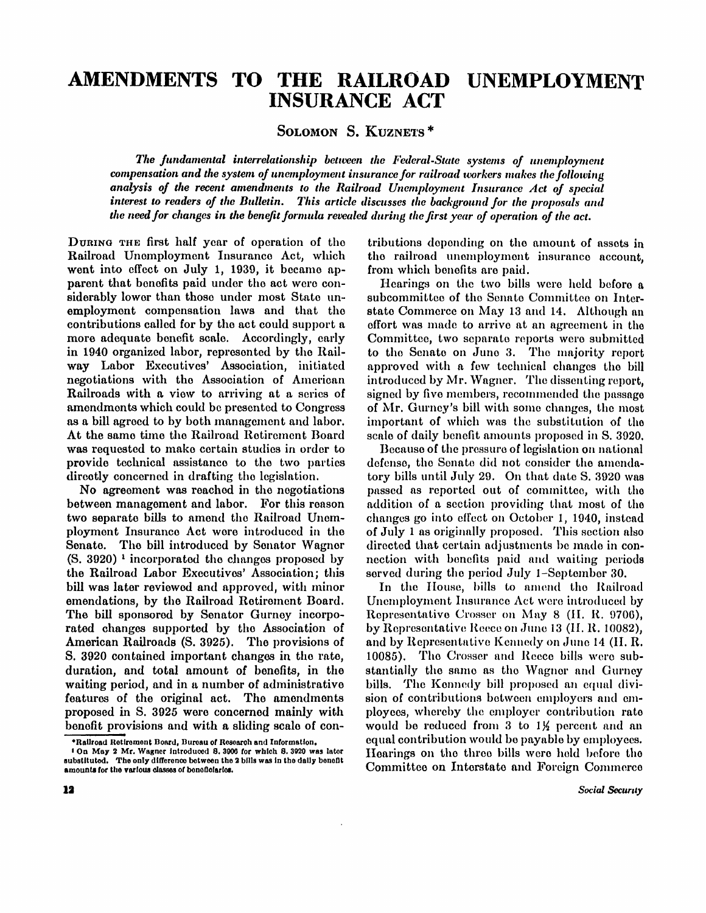# **AMENDMENTS TO THE RAILROAD UNEMPLOYMENT INSURANCE ACT**

SOLOMON S. KUZNETS<sup>\*</sup>

*The fundamental interrelationship between the Federal-State systems of unemployment compensation and the system of unemployment insurance for railroad workers makes the following analysis of the recent amendments to the Railroad Unemployment Insurance Act of special interest to readers of the Bulletin. This article discusses the background for the proposals and the need for changes in the benefit formula revealed during the first year of operation of the act.* 

DURING THE first half year of operation of the Railroad Unemployment Insurance Act, which went into effect on July 1, 1939, it became apparent that benefits paid under the act were considerably lower than those under most State unemployment compensation laws and that the contributions called for by the act could support a more adequate benefit scale. Accordingly, early in 1940 organized labor, represented by the Railway Labor Executives' Association, initiated negotiations with the Association of American Railroads with a view to arriving at a series of amendments which could be presented to Congress as a bill agreed to by both management and labor. At the same time the Railroad Retirement Board was requested to make certain studies in order to provide technical assistance to the two parties directly concerned in drafting the legislation.

No agreement was reached in the negotiations between management and labor. For this reason two separate bills to amend the Railroad Unemployment Insurance Act were introduced in the Senate. The bill introduced by Senator Wagner (S. 3920)<sup>1</sup> incorporated the changes proposed by the Railroad Labor Executives' Association; this bill was later reviewed and approved, with minor emendations, by the Railroad Retirement Board. The bill sponsored by Senator Gurney incorporated changes supported by the Association of American Railroads (S. 3925). The provisions of S. 3920 contained important changes in the rate, duration, and total amount of benefits, in the waiting period, and in a number of administrative features of the original act. The amendments proposed in S. 3925 were concerned mainly with benefit provisions and with a sliding scale of contributions depending on the amount of assets in the railroad unemployment insurance account, from which benefits are paid.

Hearings on the two bills were held before a subcommittee of the Senate Committee on Interstate Commerce on May 13 and 14. Although an effort was made to arrive at an agreement in the Committee, two separate reports were submitted to the Senate on June 3. The majority report approved with a few technical changes the bill introduced by Mr. Wagner. The dissenting report. signed by five members, recommended the passage of Mr. Gurney's bill with some changes, the most important of which was the substitution of the scale of daily benefit amounts proposed in S. 3920.

Because of the pressure of legislation on national defense, the Senate did not consider the amendatory bills until July 29. On that date S. 3920 was passed as reported out of committee, with the addition of a section providing that most of the changes go into effect on October 1, 1940, instead of July 1 as originally proposed. This section also directed that certain adjustments be made in connection with benefits paid and waiting periods served during the period July 1-September 30.

In the House, bills to amend the Railroad Unemployment Insurance Act were introduced by Representative Crosser on May 8 (H. R. 9706), by Representative Reece on June 13 (H. R. 10082), and by Representative Kennedy on June 14 (H.R. 10085) . The Crosser and Reece bills were substantially the same as the Wagner and Gurney bills. The Kennedy bill proposed an equal division of contributions between employers and employees, whereby the employer contribution rate would be reduced from 3 to 1½ percent and an equal contribution would be payable by employees. Hearings on the three bills were held before the Committee on Interstate and Foreign Commerce

<sup>\*</sup> Railroad Retirement Board, Bureau of Research and Information.

<sup>1</sup> On May 2 Mr . Wagner introduced S. 3906 for which S. 3920 was later substituted. The only difference between the 2 bills was in the daily benefit amounts for the various classes of beneficiaties.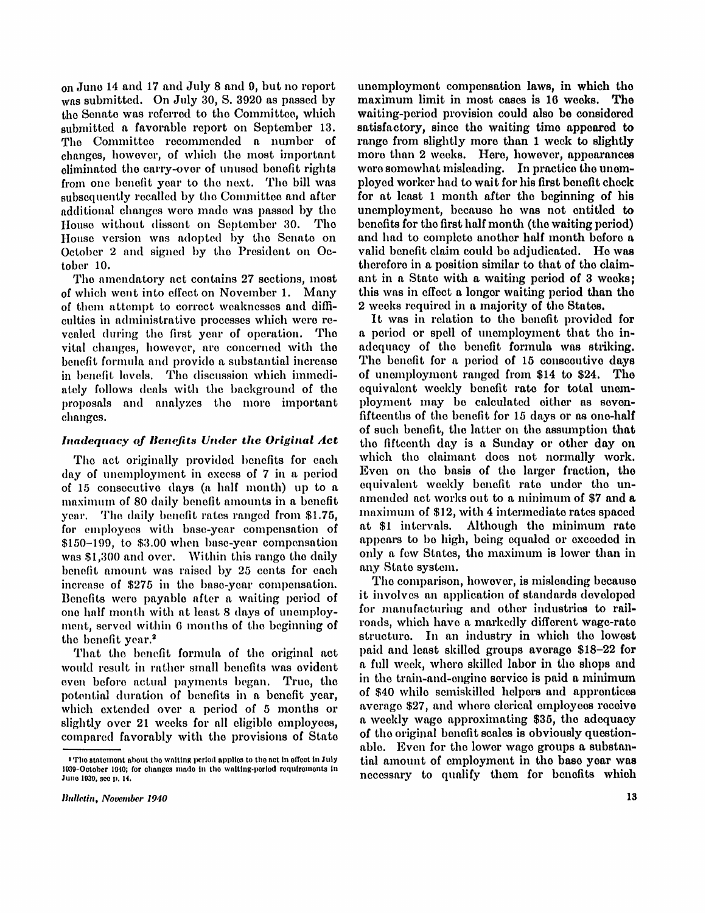on June 14 and 17 and July 8 and 9, but no report was submitted. On July 30, S. 3920 as passed by the Senate was referred to the Committee, which submitted a favorable report on September 13. The Committee recommended a number of changes, however, of which the most important eliminated the carry-over of unused benefit rights from one benefit year to the next. The bill was subsequently recalled by the Committee and after additional changes were made was passed by the House without dissent on September 30 . The House version was adopted by the Senate on October 2 and signed by the President on October 10.

The amendatory act contains 27 sections, most of which went into effect on November 1. Many of them attempt to correct weaknesses and difficulties in administrative processes which were revealed during the first year of operation. The vital changes, however, are concerned with the benefit formula and provide a substantial increase in benefit levels. The discussion which immediately follows deals with the background of the proposals and analyzes the more important changes.

## *Inadequacy of Benefits Under the Original Act*

The act originally provided benefits for each day of unemployment in excess of 7 in a period of 15 consecutive days (a half month) up to a maximum of 80 daily benefit amounts in a benefit year. The daily benefit rates ranged from \$1.75, for employees with base-year compensation of \$150-199, to \$3.00 when base-year compensation was \$1,300 and over. Within this range the daily benefit amount was raised by 25 cents for each increase of \$275 in the base-year compensation. Benefits were payable after a waiting period of one half month with at least 8 days of unemployment, served within 6 months of the beginning of the benefit year.<sup>2</sup>

That the benefit formula of the original act would result in rather small benefits was evident even before actual payments began. True, the potential duration of benefits in a benefit year, which extended over a period of 5 months or slightly over 21 weeks for all eligible employees, compared favorably with the provisions of State unemployment compensation laws, in which the maximum limit in most cases is 16 weeks. The waiting-period provision could also be considered satisfactory, since the waiting time appeared to range from slightly more than 1 week to slightly more than 2 weeks. Here, however, appearances were somewhat misleading. In practice the unemployed worker had to wait for his first benefit check for at least 1 month after the beginning of his unemployment, because he was not entitled to benefits for the first half month (the waiting period) and had to complete another half month before a valid benefit claim could be adjudicated. He was therefore in a position similar to that of the claimant in a State with a waiting period of 3 weeks; this was in effect a longer waiting period than the 2 weeks required in a majority of the States.

It was in relation to the benefit provided for a period or spell of unemployment that the inadequacy of the benefit formula was striking. The benefit for a period of 15 consecutive days of unemployment ranged from \$14 to \$24. The equivalent weekly benefit rate for total unemployment may be calculated either as sevenfifteenths of the benefit for 15 days or as one-half of such benefit, the latter on the assumption that the fifteenth day is a Sunday or other day on which the claimant does not normally work. Even on the basis of the larger fraction, the equivalent weekly benefit rate under the unamended act works out to a minimum of \$7 and a maximum of \$12, with 4 intermediate rates spaced at \$1 intervals. Although the minimum rate appears to be high, being equaled or exceeded in only a few States, the maximum is lower than in any State system.

The comparison, however, is misleading because it involves an application of standards developed for manufacturing and other industries to railroads, which have a markedly different wage-rate structure. In an industry in which the lowest paid and least skilled groups average \$18-22 for a full week, where skilled labor in the shops and in the train-and-engine service is paid a minimum of \$40 while semiskilled helpers and apprentices average \$27 , and where clerical employees receive a weekly wage approximating \$35 , the adequacy of the original benefit scales is obviously questionable. Even for the lower wage groups a substantial amount of employment in the base year was necessary to qualify them for benefits which

<sup>&</sup>lt;sup>2</sup> The statement about the waiting period applies to the act in effect in July 1939-Octobcr 1940; for changes made in the waiting-period requirements in June 1939, see p. 14.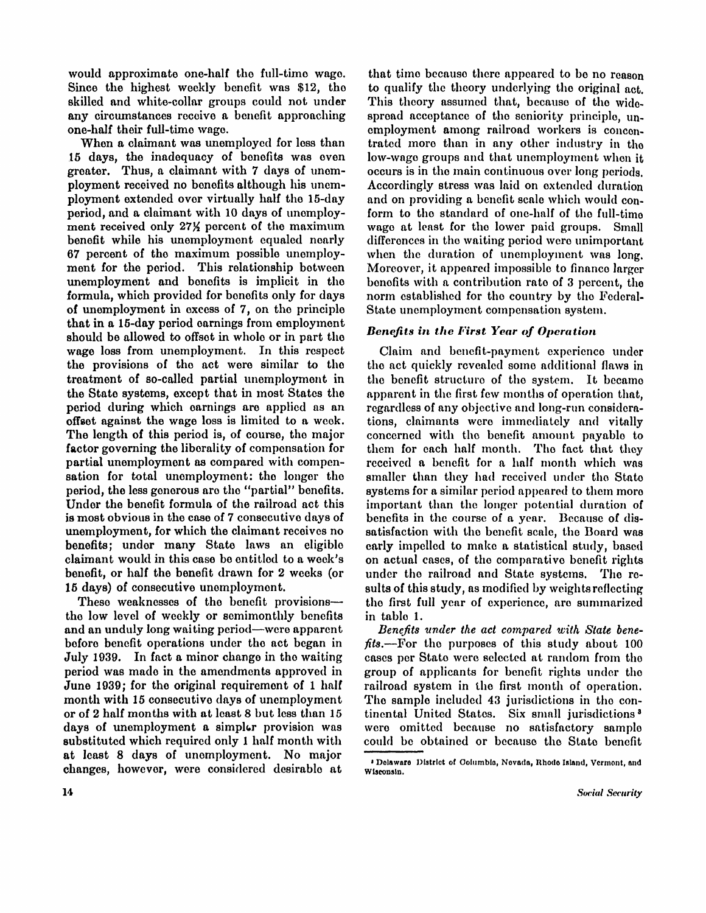would approximate one-half the full-time wage. Since the highest weekly benefit was \$12, the skilled and white-collar groups could not under any circumstances receive a benefit approaching one-half their full-time wage.

When a claimant was unemployed for less than 15 days, the inadequacy of benefits was even greater. Thus, a claimant with 7 days of unemployment received no benefits although his unemployment extended over virtually half the 15-day period, and a claimant with 10 days of unemployment received only 27% percent of the maximum benefit while his unemployment equaled nearly 67 percent of the maximum possible unemployment for the period. This relationship between unemployment and benefits is implicit in the formula, which provided for benefits only for days of unemployment in excess of 7, on the principle that in a 15-day period earnings from employment should be allowed to offset in whole or in part the wage loss from unemployment. In this respect the provisions of the act were similar to the treatment of so-called partial unemployment in the State systems, except that in most States the period during which earnings are applied as an offset against the wage loss is limited to a week. The length of this period is, of course, the major factor governing the liberality of compensation for partial unemployment as compared with compensation for total unemployment: the longer the period, the less generous are the "partial" benefits. Under the benefit formula of the railroad act this is most obvious in the case of 7 consecutive days of unemployment, for which the claimant receives no benefits; under many State laws an eligible claimant would in this case be entitled to a week's benefit, or half the benefit drawn for 2 weeks (or 15 days) of consecutive unemployment.

These weaknesses of the benefit provisions the low level of weekly or semimonthly benefits and an unduly long waiting period—were apparent before benefit operations under the act began in July 1939. In fact a minor change in the waiting period was made in the amendments approved in June 1939; for the original requirement of 1 half month with 15 consecutive days of unemployment or of 2 half months with at least 8 but less than 15 days of unemployment a simpler provision was substituted which required only 1 half month with at least 8 days of unemployment. No major changes, however, were considered desirable at

that time because there appeared to be no reason to qualify the theory underlying the original act. This theory assumed that, because of the widespread acceptance of the seniority principle, unemployment among railroad workers is concentrated more than in any other industry in the low-wage groups and that unemployment when it occurs is in the main continuous over long periods. Accordingly stress was laid on extended duration and on providing a benefit scale which would conform to the standard of one-half of the full-time wage at least for the lower paid groups. Small differences in the waiting period were unimportant when the duration of unemployment was long. Moreover, it appeared impossible to finance larger benefits with a contribution rate of 3 percent, the norm established for the country by the Federal-State unemployment compensation system.

## *Benefits in the First Year of Operation*

Claim and benefit-payment experience under the act quickly revealed some additional flaws in the benefit structure of the system. It became apparent in the first few months of operation that, regardless of any objective and long-run considerations, claimants were immediately and vitally concerned with the benefit amount payable to them for each half month. The fact that they received a benefit for a half month which was smaller than they had received under the State systems for a similar period appeared to them more important than the longer potential duration of benefits in the course of a year. Because of dissatisfaction with the benefit scale, the Board was early impelled to make a statistical study, based on actual cases, of the comparative benefit rights under the railroad and State systems. The results of this study, as modified by weights reflecting the first full year of experience, are summarized in table 1.

*Benefits under the act compared with State benefits.*—For the purposes of this study about 100 cases per State were selected at random from the group of applicants for benefit rights under the railroad system in the first month of operation. The sample included 43 jurisdictions in the continental United States. Six small jurisdictions <sup>3</sup> were omitted because no satisfactory sample could be obtained or because the State benefit

<sup>3</sup> Delaware District of Columbia, Nevada, Rhode Island, Vermont, and Wisconsin.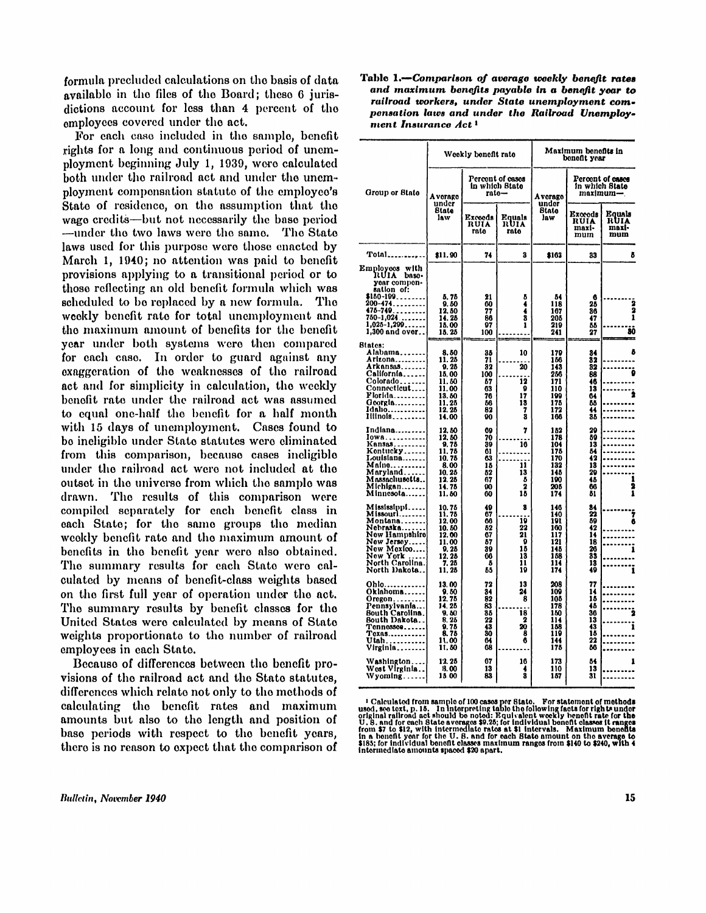formula precluded calculations on the basis of data available in the files of the Board; these 6 jurisdictions account for less than 4 percent of the employees covered under the act.

For each case included in the sample, benefit rights for a long and continuous period of unemployment beginning July 1, 1939, were calculated both under the railroad act and under the unemployment compensation statute of the employee's State of residence, on the assumption that the wage credits—but not necessarily the base period —under the two laws were the same. The State laws used for this purpose were those enacted by March 1, 1940; no attention was paid to benefit provisions applying to a transitional period or to those reflecting an old benefit formula which was scheduled to be replaced by a new formula. The weekly benefit rate for total unemployment and the maximum amount of benefits for the benefit year under both systems were then compared for each case. In order to guard against any exaggeration of the weaknesses of the railroad act and for simplicity in calculation, the weekly benefit rate under the railroad act was assumed to equal one-half the benefit for a half month with 15 days of unemployment. Cases found to be ineligible under State statutes were eliminated from this comparison, because cases ineligible under the railroad act were not included at the outset in the universe from which the sample was drawn. The results of this comparison were compiled separately for each benefit class in each State; for the same groups the median weekly benefit rate and the maximum amount of benefits in the benefit year were also obtained. The summary results for each State were calculated by means of benefit-class weights based on the first full year of operation under the act. The summary results by benefit classes for the United States were calculated by means of State weights proportionate to the number of railroad employees in each State.

Because of differences between the benefit provisions of the railroad act and the State statutes, differences which relate not only to the methods of calculating the benefit rates and maximum amounts but also to the length and position of base periods with respect to the benefit years, there is no reason to expect that the comparison of

**Bulletin, November 1940** 

Table 1*.—Compartson of average weekly benefit rates and maximum benefits payable in a benefit year to railroad workers, under State unemployment compensation laws and under the Railroad Unemployment Insurance Act<sup>1</sup>*

|                                                                                                                                                    |                                                                                                                       | Maximum benefits in<br>Weekly benefit rate<br>benefit year |                                                    |                                                                    |                                                          |                                |  |  |
|----------------------------------------------------------------------------------------------------------------------------------------------------|-----------------------------------------------------------------------------------------------------------------------|------------------------------------------------------------|----------------------------------------------------|--------------------------------------------------------------------|----------------------------------------------------------|--------------------------------|--|--|
| Group or State                                                                                                                                     | A verage                                                                                                              | rato–                                                      | Percont of cases<br>in which State                 | A verage                                                           | Percent of cases<br>in which State<br>maximum—           |                                |  |  |
|                                                                                                                                                    | under<br>State<br>law                                                                                                 | Exceeds<br>RUIA<br>rate                                    | Equals<br>RUIA<br>rato                             | under<br>Btate<br>law                                              | Exceeds<br>RUIA<br>maxi-<br>mum                          | Equals<br>RUIA<br>maxi-<br>mum |  |  |
| Total                                                                                                                                              | \$11.90                                                                                                               | 74                                                         | 3                                                  | \$163                                                              | 33                                                       | õ                              |  |  |
| Employees with<br>RUIA base-<br>year compon-<br>sation of:                                                                                         |                                                                                                                       |                                                            |                                                    |                                                                    |                                                          |                                |  |  |
| \$180-109<br>$200 - 474$<br>475-749.<br>750-1 <b>,024 </b> .<br>1,025-1,299<br>1,300 and over                                                      | 5.75<br>9.50<br>12.50<br>14.25<br>15.00<br>15.25                                                                      | 21<br>60<br>77<br>86<br>97<br>100                          | õ<br>4<br>$\frac{4}{3}$<br>1                       | 84<br>118<br>167<br>205<br>219<br>241                              | 6<br>25<br>86<br>47<br>55<br>27                          | $\frac{2}{2}$<br>8Ō            |  |  |
| <b>Biates:</b><br>Alabama<br>Arizona<br>Arkansas<br>California<br>Colorado<br>Connecticut<br>Florida<br>$G$ corgia<br>Idaho<br>Iiiinois            | $\begin{array}{c} 8.50 \\ 11.25 \\ 9.25 \end{array}$<br>15.00<br>11. 50<br>11.00<br>13. 80<br>11.25<br>12.25<br>14.00 | 35<br>71<br>32<br>100<br>67<br>63<br>76<br>86<br>82<br>90  | 10<br>20<br>12<br>9<br>17<br>18<br>7<br>8          | 179<br>186<br>143<br>256<br>171<br>110<br>199<br>175<br>172<br>166 | 34<br>32<br>32<br>88<br>46<br>13<br>64<br>86<br>44<br>38 | ß<br>Ō                         |  |  |
| Indiana<br>Iowa<br>Kansas<br>Kontucky<br>Louisiana<br>Malno <b>.</b> .<br>Maryland<br>Massachusetts…<br>Michigan<br>Minnesota…….                   | 12.50<br>12.50<br>9.75<br>11.75<br>10.75<br>8.00<br>10.25<br>12.25<br>14.75<br>11.50                                  | 69<br>70<br>39<br>61<br>63<br>15<br>52<br>67<br>90<br>60   | 7<br>16<br>11<br>13<br>õ<br>2<br>15                | 182<br>178<br>104<br>175<br>170<br>132<br>145<br>190<br>205<br>174 | 20<br>59<br>13<br>54<br>42<br>18<br>29<br>45<br>66<br>51 | 1<br>2<br>ī                    |  |  |
| Mississippi<br>Missouri<br><b>Montana</b><br>Nebraska<br>New Hampshire<br>New Jersey <br>New Mexico<br>New York<br>North Carolina.<br>North Dakota | 10.75<br>11. 75<br>12.00<br>10.50<br>12.00<br>11.00<br>$\begin{array}{r} 0.25 \\ 12.25 \\ 7.25 \\ 11.25 \end{array}$  | 49<br>67<br>66<br>52<br>67<br>57<br>39<br>06<br>5<br>65    | 8<br>10<br>22<br>21<br>9<br>18<br>13<br>11<br>19   | 146<br>140<br>191<br>100<br>117<br>121<br>145<br>158<br>114<br>174 | 84<br>22<br>89<br>42<br>14<br>18<br>26<br>33<br>13<br>49 | 6                              |  |  |
| Ohlo……………<br>Oklahoma<br>Oregon<br>Pennsylvania<br><b>Bouth Carolina.</b><br>South Dakota<br>Tennessee<br>Texas<br>Utah<br>Virginia                | 13.00<br>9.80<br>12.75<br>14.25<br>9,50<br>8.25<br>9.75<br>8.75<br>11.00<br>11.60                                     | 72<br>34<br>82<br>83<br>35<br>22<br>43<br>80<br>64<br>68   | 13<br>24<br>8<br>18<br>$\mathbf 2$<br>20<br>8<br>6 | 208<br>109<br>105<br>178<br>150<br>114<br>158<br>119<br>144<br>175 | 77<br>14<br>15<br>45<br>36<br>13<br>43<br>15<br>22<br>86 |                                |  |  |
| Washington<br>West Virginia<br>Wyoming                                                                                                             | 12.25<br>13.00<br>15.00                                                                                               | 67<br>13<br>83                                             | 16<br>4<br>3                                       | 173<br>110<br>157                                                  | 54<br>13<br>31                                           | ı                              |  |  |

<sup>&</sup>lt;sup>1</sup> Calculated from sample of 100 cases per State. For statement of methods<br>used, see text, p. 15. In heteroting table the following facts for rights under<br>original railroad act should be noted: Equivalent weekly benefit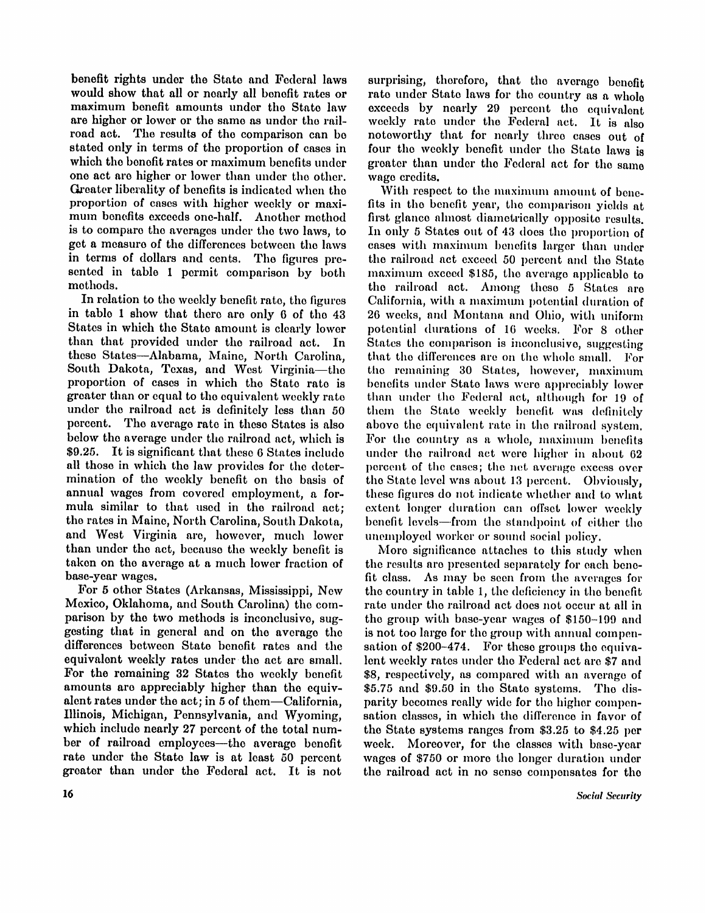benefit rights under the State and Federal laws would show that all or nearly all benefit rates or maximum benefit amounts under the State law are higher or lower or the same as under the rail road act. The results of the comparison can be stated only in terms of the proportion of cases in which the benefit rates or maximum benefits under one act are higher or lower than under the other. Greater liberality of benefits is indicated when the proportion of cases with higher weekly or maximum benefits exceeds one-half. Another method is to compare the averages under the two laws, to get a measure of the differences between the laws in terms of dollars and cents. The figures presented in table 1 permit comparison by both methods.

In relation to the weekly benefit rate, the figures in table 1 show that there are only 6 of the 43 States in which the State amount is clearly lower than that provided under the railroad act. In these States—Alabama, Maine, North Carolina, South Dakota, Texas, and West Virginia-the proportion of cases in which the State rate is greater than or equal to the equivalent weekly rate under the railroad act is definitely less than 50 percent. The average rate in these States is also below the average under the railroad act, which is \$9.25. It is significant that these 6 States include all those in which the law provides for the determination of the weekly benefit on the basis of annual wages from covered employment, a formula similar to that used in the railroad act; the rates in Maine, North Carolina, South Dakota, and West Virginia are, however, much lower than under the act, because the weekly benefit is taken on the average at a much lower fraction of base-year wages.

For 5 other States (Arkansas, Mississippi, New Mexico, Oklahoma, and South Carolina) the comparison by the two methods is inconclusive, suggesting that in general and on the average the differences between State benefit rates and the equivalent weekly rates under the act are small. For the remaining 32 States the weekly benefit amounts are appreciably higher than the equivalent rates under the act; in 5 of them-California, Illinois, Michigan, Pennsylvania, and Wyoming, which include nearly 27 percent of the total number of railroad employees—the average benefit rate under the State law is at least 50 percent greater than under the Federal act. It is not surprising, therefore, that the average benefit rate under State laws for the country as a whole exceeds by nearly 29 percent the equivalent weekly rate under the Federal act. It is also noteworthy that for nearly three cases out of four the weekly benefit under the State laws is greater than under the Federal act for the same wage credits.

With respect to the maximum amount of benefits in the benefit year, the comparison yields at first glance almost diametrically opposite results. In only 5 States out of 43 does the proportion of cases with maximum benefits larger than under the railroad act exceed 50 percent and the State maximum exceed \$185 , the average applicable to the railroad act. Among these 5 States are California, with a maximum potential duration of 26 weeks, and Montana and Ohio, with uniform potential durations of 16 weeks. For 8 other States the comparison is inconclusive, suggesting that the differences are on the whole small. For the remaining 30 States, however, maximum benefits under State laws were appreciably lower than under the Federal act, although for 19 of them the State weekly benefit was definitely above the equivalent rate in the railroad system. For the country as a whole, maximum benefits under the railroad act were higher in about 62 percent of the cases; the net average excess over the State level was about 13 percent. Obviously, these figures do not indicate whether and to what extent longer duration can offset lower weekly benefit levels—from the standpoint of either the unemployed worker or sound social policy.

More significance attaches to this study when the results are presented separately for each benefit class. As may be seen from the averages for the country in table 1, the deficiency in the benefit rate under the railroad act does not occur at all in the group with base-year wages of  $$150-199$  and is not too large for the group with annual compensation of \$200-474. For these groups the equivalent weekly rates under the Federal act are \$7 and \$8, respectively, as compared with an average of \$5.75 and \$9.50 in the State systems. The disparity becomes really wide for the higher compensation classes, in which the difference in favor of the State systems ranges from  $$3.25$  to  $$4.25$  per week. Moreover, for the classes with base-year wages of \$750 or more the longer duration under the railroad act in no sense compensates for the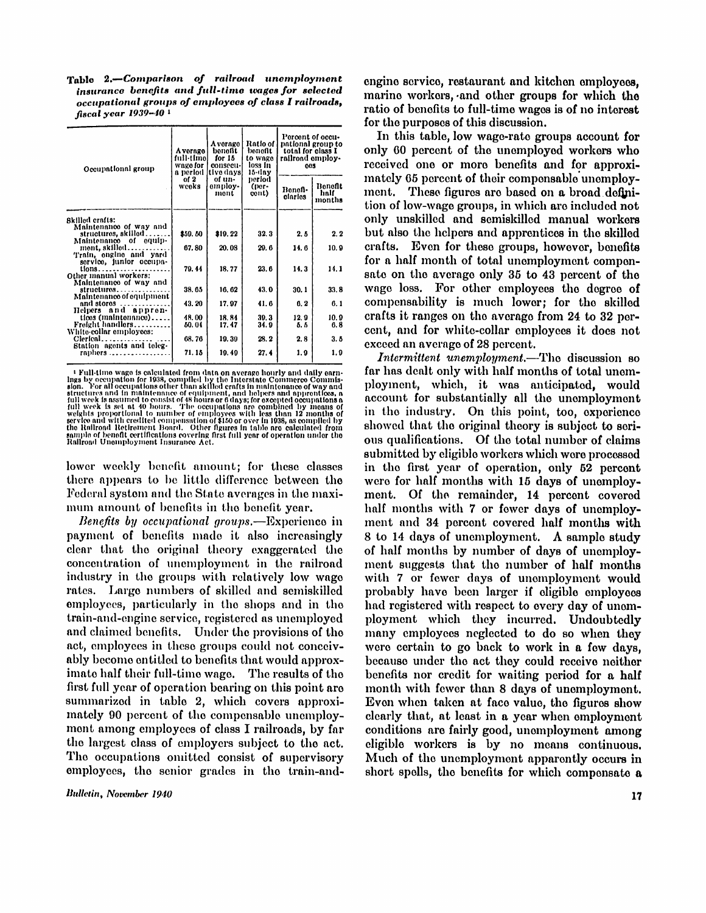Table 2.—*Comparison of railroad unemployment insurance benefits and full-time wages for selected occupational groups of employees of class I railroads, fiscal year 1939-40 <sup>1</sup>*

| Occupational group                                                        | A vorage<br>full-timol<br>wage for | Average<br>bonofit<br>for 15<br>consecu-<br>a period [tive days] | Ratio of<br>bonofit<br>to wage<br>loss in<br>15-day | Percent of occu-<br>pational group to<br>total for class I<br>railroad employ-<br>605 |                           |  |  |
|---------------------------------------------------------------------------|------------------------------------|------------------------------------------------------------------|-----------------------------------------------------|---------------------------------------------------------------------------------------|---------------------------|--|--|
|                                                                           | of 2<br>weeks                      | of un-<br>omploy-<br>mont                                        | period<br>(per-<br>cont)                            | Banafi•<br>ciarios                                                                    | Bonofit<br>half<br>months |  |  |
| Skilled crafts:                                                           |                                    |                                                                  |                                                     |                                                                                       |                           |  |  |
| Maintenance of way and<br>structures, skilled<br>Maintenance of equip-    | \$59.80                            | \$10.22                                                          | 32.3                                                | 2.6                                                                                   | 2.2                       |  |  |
| ment. skilled<br>Train, engine and yard                                   | 67.80                              | 20.08                                                            | 20.6                                                | 14.6                                                                                  | 10.9                      |  |  |
| service, junior occupa-<br>tions<br>Other manual workers:                 | 79.44                              | 18.77                                                            | 23.6                                                | 14.3                                                                                  | 14.1                      |  |  |
| Maintenance of way and<br>$strucluros \ldots$<br>Maintenance of equipment | 38.65                              | 16.62                                                            | 43.0                                                | 30.1                                                                                  | 33.8                      |  |  |
| and stores<br>.                                                           | 43.20                              | 17.97                                                            | 41.6                                                | 0, 2                                                                                  | 6.1                       |  |  |
| Helpers and appren-<br>tices (maintenance)                                | 48.00                              | 18.84                                                            | 30.3                                                | 12.9                                                                                  | 10.9                      |  |  |
| Freight handlers                                                          | 60.04                              | 17.47                                                            | 34.9                                                | 5.5                                                                                   | 6.8                       |  |  |
| White-collar employees:<br>$Clerical$<br>Station agents and teleg-        | 68.76                              | 19.30                                                            | 28.2                                                | 2.8                                                                                   | 3.5                       |  |  |
| $r$ aphers                                                                | 71.15                              | 10.40                                                            | 27.4                                                | 1.9                                                                                   | 1.9                       |  |  |

<sup>1</sup> Full-time wage is calculated from data on average hourly and daily earnings by occupation for 1938, compiled by the Interstate Commusion. For all occupations other than skilled crafts in maintenance of way and structu

lower weekly benefit amount; for these classes there appears to be little difference between the Federal system and the State averages in the maximum amount of benefits in the benefit year.

*Benefits by occupational groups.*—Experience in payment of benefits made it also increasingly clear that the original theory exaggerated the concentration of unemployment in the railroad industry in the groups with relatively low wage rates. Large numbers of skilled and semiskilled employees, particularly in the shops and in the train-and-engine service, registered as unemployed and claimed benefits. Under the provisions of the act, employees in these groups could not conceivably become entitled to benefits that would approximate half their full-time wage. The results of the first full year of operation bearing on this point are summarized in table 2, which covers approximately 90 percent of the compensable unemployment among employees of class I railroads, by far the largest class of employers subject to the act. The occupations omitted consist of supervisory employees, the senior grades in the train-and-

Bulletin, November 1940

engine service, restaurant and kitchen employees, marine workers, and other groups for which the ratio of benefits to full-time wages is of no interest for the purposes of this discussion.

In this table, low wage-rate groups account for only 60 percent of the unemployed workers who received one or more benefits and for approximately 65 percent of their compensable unemployment. These figures are based on a broad definition of low-wage groups, in which are included not only unskilled and semiskilled manual workers but also the helpers and apprentices in the skilled crafts. Even for these groups, however, benefits for a half month of total unemployment compensate on the average only 35 to 43 percent of the wage loss. For other employees the degree of compensability is much lower; for the skilled crafts it ranges on the average from 24 to 32 percent, and for white-collar employees it does not exceed an average of 28 percent.

*Intermittent unemployment.*—The discussion so far has dealt only with half months of total unemployment, which, it was anticipated, would account for substantially all the unemployment in the industry. On this point, too, experience showed that the original theory is subject to serious qualifications. Of the total number of claims submitted by eligible workers which, were processed in the first year of operation, only 52 percent were for half months with 15 days of unemployment. Of the remainder, 14 percent covered half months with 7 or fewer days of unemployment and 34 percent covered half months with 8 to 14 days of unemployment. A sample study of half months by number of days of unemployment suggests that the number of half months with 7 or fewer days of unemployment would probably have been larger if eligible employees had registered with respect to every day of unemployment which they incurred. Undoubtedly many employees neglected to do so when they were certain to go back to work in a few days, because under the act they could receive neither benefits nor credit for waiting period for a half month with fewer than 8 days of unemployment. Even when taken at face value, the figures show clearly that, at least in a year when employment conditions are fairly good, unemployment among eligible workers is by no means continuous. Much of the unemployment apparently occurs in short spells, the benefits for which compensate a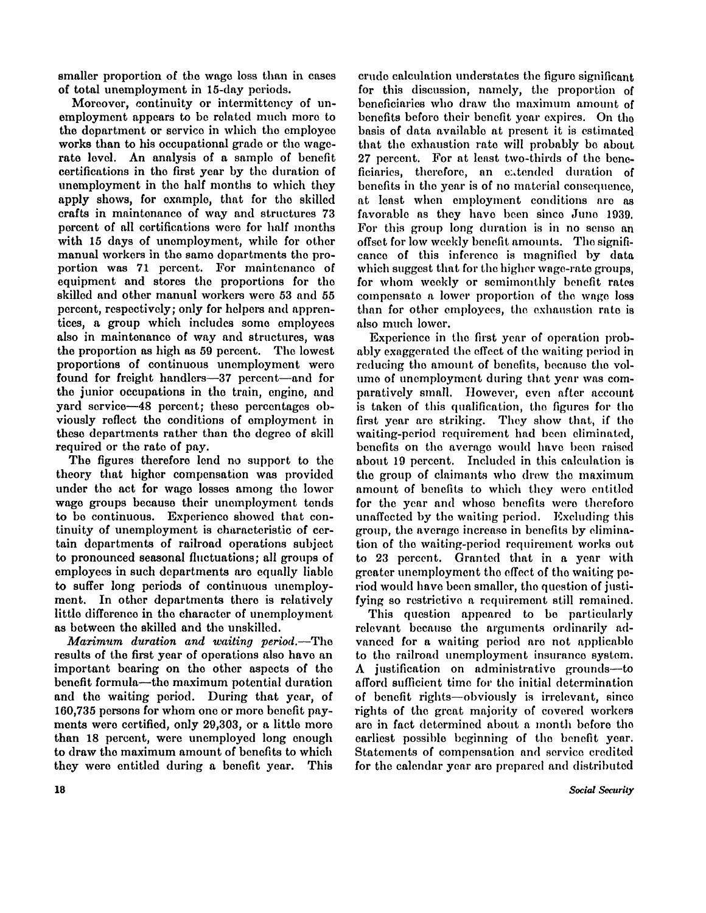smaller proportion of the wage loss than in cases of total unemployment in 15-day periods.

Moreover, continuity or intermittency of unemployment appears to be related much more to the department or service in which the employee works than to his occupational grade or the wagerate level. An analysis of a sample of benefit certifications in the first year by the duration of unemployment in the half months to which they apply shows, for example, that for the skilled crafts in maintenance of way and structures 73 percent of all certifications were for half months with 15 days of unemployment, while for other manual workers in the same departments the proportion was 71 percent. For maintenance of equipment and stores the proportions for the skilled and other manual workers were 53 and 55 percent, respectively; only for helpers and apprentices, a group which includes some employees also in maintenance of way and structures, was the proportion as high as 59 percent. The lowest proportions of continuous unemployment were found for freight handlers—37 percent—and for the junior occupations in the train, engine, and yard service—48 percent; these percentages obviously reflect the conditions of employment in these departments rather than the degree of skill required or the rate of pay.

The figures therefore lend no support to the theory that higher compensation was provided under the act for wage losses among the lower wage groups because their unemployment tends to be continuous. Experience showed that continuity of unemployment is characteristic of certain departments of railroad operations subject to pronounced seasonal fluctuations; all groups of employees in such departments are equally liable to suffer long periods of continuous unemployment. In other departments there is relatively little difference in the character of unemployment as between the skilled and the unskilled.

*Maximum duration and waiting period.*—The results of the first year of operations also have an important bearing on the other aspects of the benefit formula—the maximum potential duration and the waiting period. During that year, of 160,735 persons for whom one or more benefit payments were certified, only 29,303, or a little more than 18 percent, were unemployed long enough to draw the maximum amount of benefits to which they were entitled during a benefit year. This crude calculation understates the figure significant for this discussion, namely, the proportion of beneficiaries who draw the maximum amount of benefits before their benefit year expires. On the basis of data available at present it is estimated that the exhaustion rate will probably be about 27 percent. For at least two-thirds of the beneficiaries, therefore, an extended duration of benefits in the year is of no material consequence. at least when employment conditions are as favorable as they have been since June 1939. For this group long duration is in no sense an offset for low weekly benefit amounts. The significance of this inference is magnified by data which suggest that for the higher wage-rate groups. for whom weekly or semimonthly benefit rates compensate a lower proportion of the wage loss than for other employees, the exhaustion rate is also much lower.

Experience in the first year of operation probably exaggerated the effect of the waiting period in reducing the amount of benefits, because the volume of unemployment during that year was comparatively small. However, even after account is taken of this qualification, the figures for the first year are striking. They show that, if the waiting-period requirement had been eliminated, benefits on the average would have been raised about 19 percent. Included in this calculation is the group of claimants who drew the maximum amount of benefits to which they were entitled for the year and whose benefits were therefore unaffected by the waiting period. Excluding this group, the average increase in benefits by elimination of the waiting-period requirement works out to 23 percent. Granted that in a year with greater unemployment the effect of the waiting period would have been smaller, the question of justifying so restrictive a requirement still remained.

This question appeared to be particularly relevant because the arguments ordinarily advanced for a waiting period are not applicable to the railroad unemployment insurance system. A justification on administrative grounds—to afford sufficient time for the initial determination of benefit rights—obviously is irrelevant, since rights of the great majority of covered workers are in fact determined about a month before the earliest possible beginning of the benefit year. Statements of compensation and service credited for the calendar year are prepared and distributed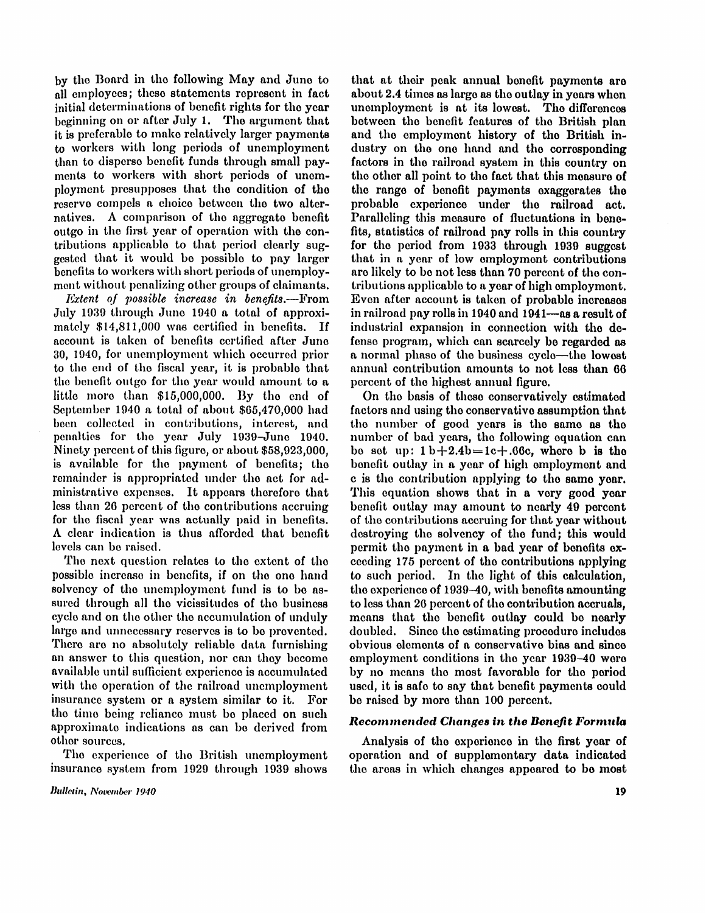by the Board in the following May and June to all employees; these statements represent in fact initial determinations of benefit rights for the year beginning on or after July 1. The argument that it is preferable to make relatively larger payments to workers with long periods of unemployment than to disperse benefit funds through small payments to workers with short periods of unemployment presupposes that the condition of the reserve compels a choice between the two alternatives. A comparison of the aggregate benefit outgo in the first year of operation with the contributions applicable to that period clearly suggested that it would be possible to pay larger benefits to workers with short periods of unemployment without penalizing other groups of claimants.

*Extent of possible increase in benefits.*—From July 1939 through June 1940 a total of approximately  $$14,811,000$  was certified in benefits. If account is taken of benefits certified after June 30, 1940, for unemployment which occurred prior to the end of the fiscal year, it is probable that the benefit outgo for the year would amount to a little more than  $$15,000,000$ . By the end of September 1940 a total of about \$65,470,000 had been collected in contributions, interest, and penalties for the year July 1939-June 1940. Ninety percent of this figure, or about \$58,923,000, is available for the payment of benefits; the remainder is appropriated under the act for administrative expenses. It appears therefore that less than 26 percent of the contributions accruing for the fiscal year was actually paid in benefits. A clear indication is thus afforded that benefit levels can be raised.

The next question relates to the extent of the possible increase in benefits, if on the one hand solvency of the unemployment fund is to be assured through all the vicissitudes of the business cycle and on the other the accumulation of unduly large and unnecessary reserves is to be prevented. There are no absolutely reliable data furnishing an answer to this question, nor can they become available until sufficient experience is accumulated with the operation of the railroad unemployment insurance system or a system similar to it. For the time being reliance must be placed on such approximate indications as can be derived from other sources.

The experience of the British unemployment insurance system from 1929 through 1939 shows

that at their peak annual benefit payments are about 2.4 times as large as the outlay in years when unemployment is at its lowest. The differences between the benefit features of the British plan and the employment history of the British industry on the one hand and the corresponding factors in the railroad system in this country on the other all point to the fact that this measure of the range of benefit payments exaggerates the probable experience under the railroad act. Paralleling this measure of fluctuations in benefits, statistics of railroad pay rolls in this country for the period from 1933 through 1939 suggest that in a year of low employment contributions are likely to be not less than 70 percent of the contributions applicable to a year of high employment. Even after account is taken of probable increases in railroad pay rolls in 1940 and 1941—as a result of industrial expansion in connection with the defense program, which can scarcely be regarded as a normal phase of the business cycle—the lowest annual contribution amounts to not less than 66 percent of the highest annual figure.

On the basis of these conservatively estimated factors and using the conservative assumption that the number of good years is the same as the number of bad years, the following equation can be set up:  $1 b + 2.4 b = 1 c + .66c$ , where b is the benefit outlay in a year of high employment and c is the contribution applying to the same year. This equation shows that in a very good year benefit outlay may amount to nearly 49 percent of the contributions accruing for that year without destroying the solvency of the fund; this would permit the payment in a bad year of benefits exceeding 175 percent of the contributions applying to such period. In the light of this calculation, the experience of  $1939-40$ , with benefits amounting to less than 26 percent of the contribution accruals, means that the benefit outlay could be nearly doubled. Since the estimating procedure includes obvious elements of a conservative bias and since employment conditions in the year 1939-40 were by no means the most favorable for the period used, it is safe to say that benefit payments could be raised by more than 100 percent.

#### *Recommended Changes in the Benefit Formula*

Analysis of the experience in the first year of operation and of supplementary data indicated the areas in which changes appeared to be most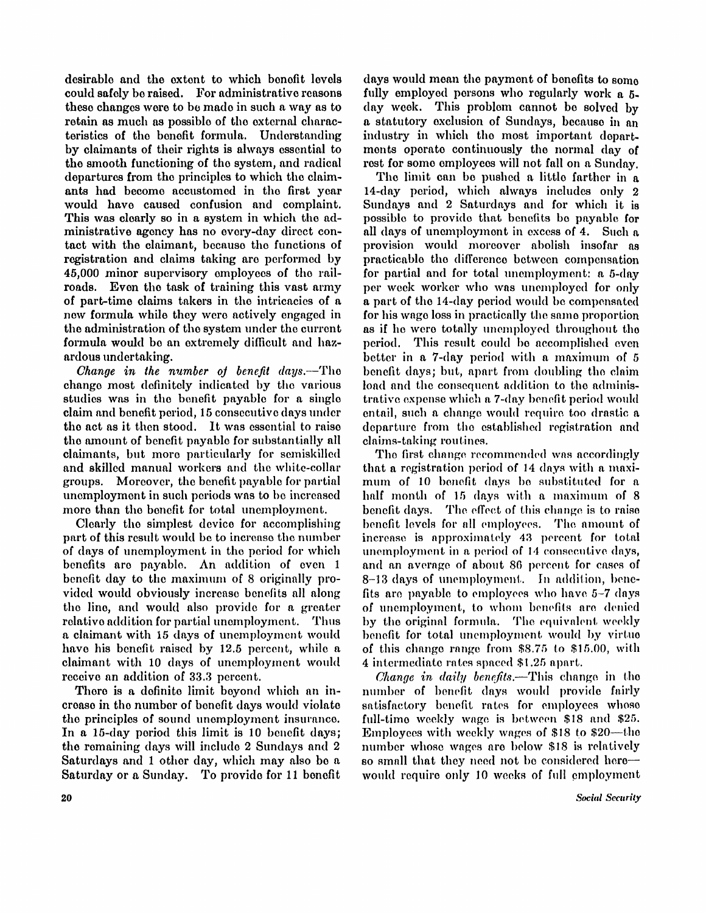desirable and the extent to which benefit levels could safely be raised. For administrative reasons these changes were to be made in such a way as to retain as much as possible of the external characteristics of the benefit formula. Understanding by claimants of their rights is always essential to the smooth functioning of the system, and radical departures from the principles to which the claimants had become accustomed in the first year would have caused confusion and complaint. This was clearly so in a system in which the administrative agency has no every-day direct contact with the claimant, because the functions of registration and claims taking are performed by 45,000 minor supervisory employees of the railroads. Even the task of training this vast army of part-time claims takers in the intricacies of a new formula while they were actively engaged in the administration of the system under the current formula would be an extremely difficult and hazardous undertaking.

*Change in the number of benefit days.*—The change most definitely indicated by the various studies was in the benefit payable for a single claim and benefit period, 1 5 consecutive days under the act as it then stood. It was essential to raise the amount of benefit payable for substantially all claimants, but more particularly for semiskilled and skilled manual workers and the white-collar groups. Moreover, the benefit payable for partial unemployment in such periods was to be increased more than the benefit for total unemployment.

Clearly the simplest device for accomplishing part of this result would be to increase the number of days of unemployment in the period for which benefits are payable. An addition of even 1 benefit day to the maximum of 8 originally provided would obviously increase benefits all along the line, and would also provide for a greater relative addition for partial unemployment. Thus a claimant with 15 days of unemployment would have his benefit raised by 12.5 percent, while a claimant with 10 days of unemployment would receive an addition of 33.3 percent.

There is a definite limit beyond which an increase in the number of benefit days would violate the principles of sound unemployment insurance. In a 15-day period this limit is 10 benefit days; the remaining days will include 2 Sundays and 2 Saturdays and 1 other day, which may also be a Saturday or a Sunday. To provide for 11 benefit

days would mean the payment of benefits to some fully employed persons who regularly work  $a_5$ . day week. This problem cannot be solved by a statutory exclusion of Sundays, because in an industry in which the most important departments operate continuously the normal day of rest for some employees will not fall on a Sunday.

The limit can be pushed a little farther in a 14-day period, which always includes only 2 Sundays and 2 Saturdays and for which it is possible to provide that benefits be payable for all days of unemployment in excess of 4. Such  $\alpha$ provision would moreover abolish insofar as practicable the difference between compensation for partial and for total unemployment: a 5-day per week worker who was unemployed for only a part of the 14-day period would be compensated for his wage loss in practically the same proportion as if he were totally unemployed throughout the period. This result could be accomplished even better in a  $7$ -day period with a maximum of  $5$ benefit days; but, apart from doubling the claim load and the consequent addition to the administrative expense which a 7-day benefit period would entail, such a change would require too drastic a departure from the established registration and claims-taking routines.

The first change recommended was accordingly that a registration period of 14 days with a maximum of 10 benefit days be substituted for a half month of 15 days with a maximum of 8 benefit days. The effect of this change is to raise benefit levels for all employees. The amount of increase is approximately 43 percent for total unemployment in a period of 14 consecutive days, and an average of about 86 percent for cases of 8-13 days of unemployment. In addition, benefits are payable to employees who have  $5-7$  days of unemployment, to whom benefits are denied by the original formula. The equivalent weekly benefit for total unemployment would by virtue of this change range from \$8.75 to \$15.00, with 4 intermediate rates spaced \$1.25 apart.

*Change in daily benefits.*—This change in the number of benefit days would provide fairly satisfactory benefit rates for employees whose full-time weekly wage is between \$18 and \$25. Employees with weekly wages of \$18 to \$20—the number whose wages are below \$18 is relatively so small that they need not be considered here would require only 10 weeks of full employment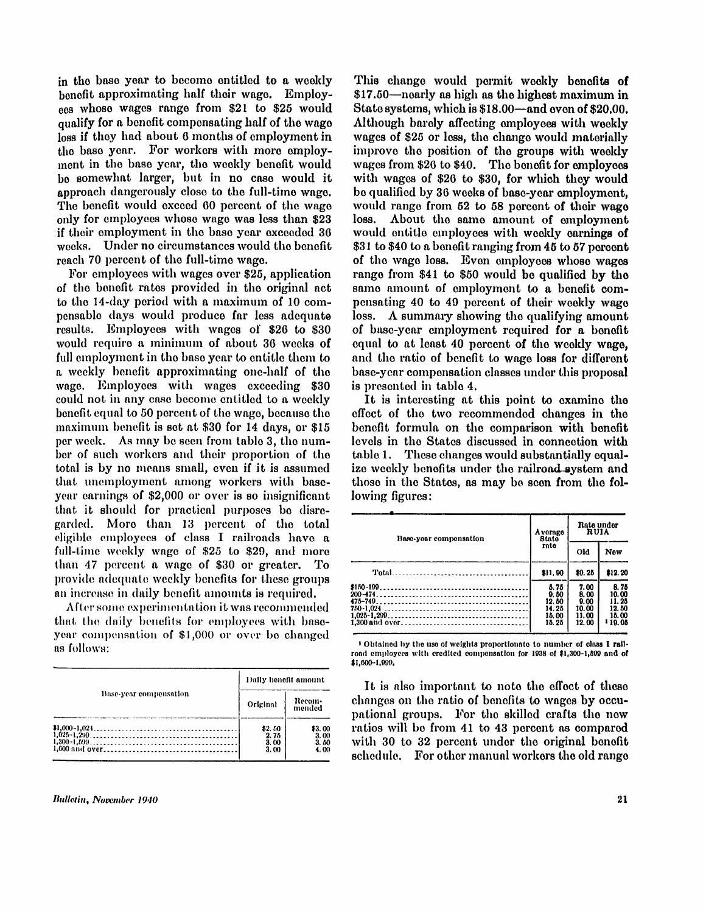in the base year to become entitled to a weekly benefit approximating half their wage. Employees whose wages range from \$21 to \$25 would qualify for a benefit compensating half of the wage loss if they had about 6 months of employment in the base year. For workers with more employment in the base year, the weekly benefit would be somewhat larger, but in no case would it approach dangerously close to the full-time wage. The benefit would exceed 60 percent of the wage only for employees whose wage was less than \$23 if their employment in the base year exceeded 36 weeks. Under no circumstances would the benefit reach 70 percent of the full-time wage.

For employees with wages over \$25, application of the benefit rates provided in the original act to the 14-day period with a maximum of 10 compensable days would produce far less adequate results. Employees with wages of \$26 to \$30 would require a minimum of about 36 weeks of full employment in the base year to entitle them to a weekly benefit approximating one-half of the wage. Employees with wages exceeding \$30 could not in any case become entitled to a weekly benefit equal to 50 percent of the wage, because the maximum benefit is set at \$30 for 14 days, or \$15 per week. As may be seen from table 3, the number of such workers and their proportion of the total is by no means small, even if it is assumed that unemployment among workers with baseyear earnings of \$2,000 or over is so insignificant that it should for practical purposes be disregarded. More than 13 percent of the total eligible employees of class I railroads have a full-time weekly wage of \$25 to \$29, and more than 47 percent a wage of \$30 or greater. To provide adequate weekly benefits for these groups an increase in daily benefit amounts is required.

After some experimentation it was recommended that the daily benefits for employees with baseyear compensation of \$1,000 or over be changed as follows:

|                        | Dally benefit amount           |                                |  |  |  |
|------------------------|--------------------------------|--------------------------------|--|--|--|
| Base-year compensation | Original                       | Recom-<br>mended               |  |  |  |
|                        | \$2.60<br>2.75<br>3.00<br>3.00 | \$3.00<br>3.00<br>3.50<br>4.00 |  |  |  |

This change would permit weekly benefits of  $$17.50$ —nearly as high as the highest maximum in State systems, which is \$18.00—and even of \$20.00. Although barely affecting employees with weekly wages of \$25 or less, the change would materially improve the position of the groups with weekly wages from \$26 to \$40. The benefit for employees with wages of \$26 to \$30, for which they would be qualified by 36 weeks of base-year employment, would range from  $52$  to  $58$  percent of their wage loss. About the same amount of employment would entitle employees with weekly earnings of \$31 to \$40 to a benefit ranging from 45 to 57 percent of the wage loss. Even employees whose wages range from \$41 to \$50 would be qualified by the same amount of employment to a benefit compensating 40 to 49 percent of their weekly wage loss. A summary showing the qualifying amount of base-year employment required for a benefit equal to at least 40 percent of the weekly wage, and the ratio of benefit to wage loss for different base-year compensation classes under this proposal is presented in table 4.

It is interesting at this point to examine the effect of the two recommended changes in the benefit formula on the comparison with benefit levels in the States discussed in connection with table 1. These changes would substantially equalize weekly benefits under the railroad-system and those in the States, as may be soon from the following figures:

| Base-year compensation | Avemge<br><b>State</b>                           | Rate under<br><b>RUIA</b>                       |                                                           |  |  |
|------------------------|--------------------------------------------------|-------------------------------------------------|-----------------------------------------------------------|--|--|
|                        | rate                                             | Old                                             | New                                                       |  |  |
|                        | \$11.90                                          | \$0.25                                          | \$12.20                                                   |  |  |
|                        | 5.75<br>0.50<br>12.50<br>14.25<br>18.00<br>15.25 | 7.00<br>8.00<br>0.00<br>10.00<br>11.00<br>12.00 | 8.75<br>10.00<br>11.25<br>12.50<br>15.00<br><b>119.05</b> |  |  |

1 Obtained by the use of weights proportionate to number of class I railroad employees with credited compensation for 1938 of \$1,300-1,599 and of \$1,600-1,999.

It is also important to note the effect of these changes on the ratio of benefits to wages by occupational groups. For the skilled crafts the new ratios will be from 41 to 43 percent as compared with 30 to 32 percent under the original benefit schedule. For other manual workers the old range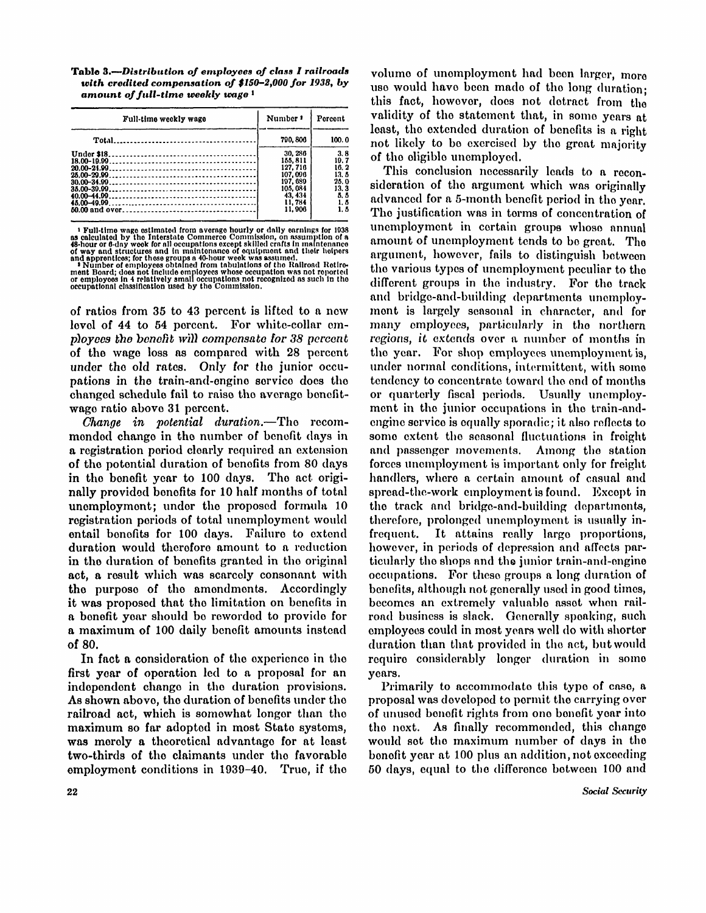Table 3.-Distribution of employees of class I railroads *with credited compensation of \$150-2,000 for 1938, by amount of full-time weekly wage <sup>1</sup>*

| Full-time weekly wage | Number <sup>1</sup> | Percent |  |  |
|-----------------------|---------------------|---------|--|--|
|                       | 790, 806            | 100.0   |  |  |
|                       | 30.286              | 3.8     |  |  |
|                       | 155, 811            | 19.7    |  |  |
|                       | 127.716             | 16.2    |  |  |
|                       | 107.006             | 13. 5   |  |  |
| $30.00 - 34.99$       | 197, 689            | 25.0    |  |  |
|                       | 105.084             | 13. 3   |  |  |
|                       | 43.434              | 5.5     |  |  |
|                       | 11.784              | 1. 5    |  |  |
|                       | 11.906              | 1. 5    |  |  |

<sup>1</sup> Full-time wage estimated from average hourly or daily earnings for 1938<br>as calculated by the Interstate Commerce Commission, on assumption of a<br>48-hour of 6-day week for all occupations except skilled crafts in mainten

of ratios from 35 to 43 percent is lifted to a new level of 44 to 54 percent. For white-collar employees the benefit will compensate for 38 percent of the wage loss as compared with 28 percent under the old rates. Only for the junior occupations in the train-and-engine service does the changed schedule fail to raise the average benefitwage ratio above 31 percent.

*Change in potential duration.*—The recommended change in the number of benefit days in a registration period clearly required an extension of the potential duration of benefits from 80 days in the benefit year to 100 days. The act originally provided benefits for 10 half months of total unemployment; under the proposed formula 10 registration periods of total unemployment would entail benefits for 100 days. Failure to extend duration would therefore amount to a reduction in the duration of benefits granted in the original act, a result which was scarcely consonant with the purpose of the amendments. Accordingly it was proposed that the limitation on benefits in a benefit year should be reworded to provide for a maximum of 100 daily benefit amounts instead of 80.

In fact a consideration of the experience in the first year of operation led to a proposal for an independent change in the duration provisions. As shown above, the duration of benefits under the railroad act, which is somewhat longer than the maximum so far adopted in most State systems, was merely a theoretical advantage for at least two-thirds of the claimants under the favorable employment conditions in 1939-40. True, if the

volume of unemployment had been larger, more use would have been made of the long duration; this fact, however, does not detract from the validity of the statement that, in some years at least, the extended duration of benefits is a right not likely to be exercised by the great majority of the eligible unemployed.

This conclusion necessarily leads to a reconsideration of the argument which was originally advanced for a 5-month benefit period in the year. The justification was in terms of concentration of unemployment in certain groups whose annual amount of unemployment tends to be great. The argument, however, fails to distinguish between the various types of unemployment peculiar to the different groups in the industry. For the track and bridge-and-building departments unemployment is largely seasonal in character, and for many employees, particularly in the northern regions, it extends over a number of months in the year. For shop employees unemployment is, under normal conditions, intermittent, with some tendency to concentrate toward the end of months or quarterly fiscal periods. Usually unemployment in the junior occupations in the train-andengine service is equally sporadic; it also reflects to some extent the seasonal fluctuations in freight and passenger movements. Among the station forces unemployment is important only for freight handlers, where a certain amount of casual and spread-the-work employment is found. Except in the track and bridge-and-building departments, therefore, prolonged unemployment is usually infrequent. It attains really large proportions, however, in periods of depression and affects particularly the shops and the junior train-and-engine occupations. For these groups a long duration of benefits, although not generally used in good times, becomes an extremely valuable asset when railroad business is slack. Generally speaking, such employees could in most years well do with shorter duration than that provided in the act, but would require considerably longer duration in some years.

Primarily to accommodate this type of case, a proposal was developed to permit the carrying over of unused benefit rights from one benefit year into the next. As finally recommended, this change would set the maximum number of days in the benefit year at 100 plus an addition, not exceeding 50 days, equal to the difference between 100 and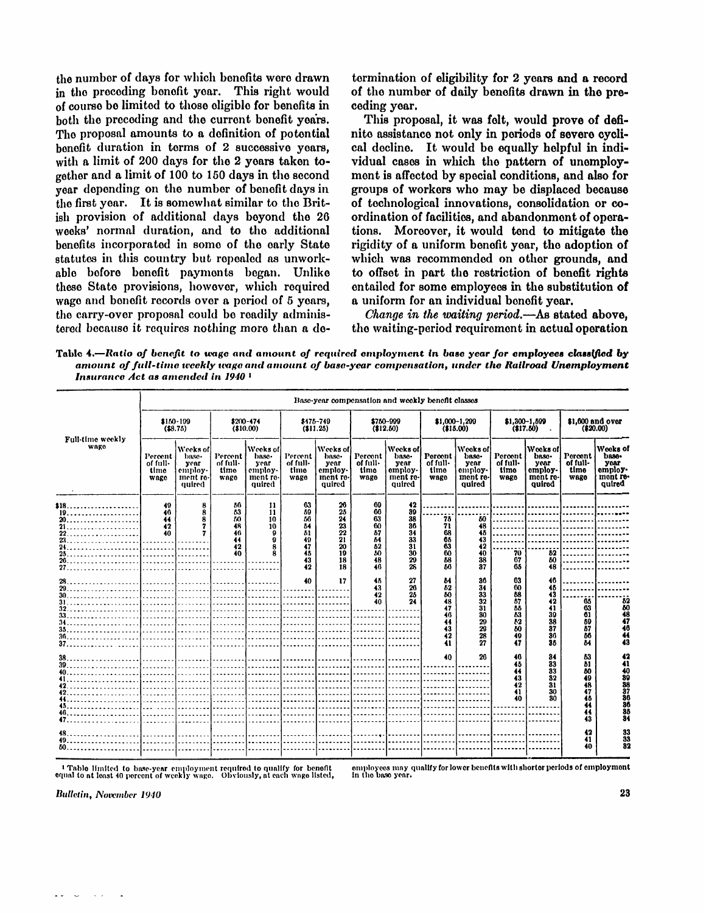the number of days for which benefits were drawn in the preceding benefit year. This right would of course be limited to those eligible for benefits in both the preceding and the current benefit years. The proposal amounts to a definition of potential benefit duration in terms of  $2$  successive years, with a limit of 200 days for the 2 years taken together and a limit of 100 to 150 days in the second year depending on the number of benefit days in the first year. It is somewhat similar to the British provision of additional days beyond the 26 weeks' normal duration, and to the additional benefits incorporated in some of the early State statutes in this country but repealed as unworkable before benefit payments began. Unlike these State provisions, however, which required wage and benefit records over a period of 5 years, the carry-over proposal could be readily adminis tered because it requires nothing more than a de-

termination of eligibility for 2 years and a record of the number of daily benefits drawn in the preceding year.

This proposal, it was felt, would prove of definite assistance not only in periods of severe cyclical decline. It would be equally helpful in individual cases in which the pattern of unemployment is affected by special conditions, and also for groups of workers who may be displaced because of technological innovations, consolidation or coordination of facilities, and abandonment of operations. Moreover, it would tend to mitigate the rigidity of a uniform benefit year, the adoption of which was recommended on other grounds, and to offset in part the restriction of benefit rights entailed for some employees in the substitution of a uniform for an individual benefit year.

*Change in the waiting period.*—As stated above, the waiting-period requirement in actual operation

Table **4.—***Rati o of benefit to wage and amount of* required *employment in base year for employees classified by amount of full-time weekly wage and amount of base-year compensation, under the Railroad Unemployment Insurance Act as amended in 1940 <sup>1</sup>*

|                          | Base-year compensation and weekly benefit classes |                                                            |                                                          |                                                            |                                                          |                                                            |                                                          |                                                            |                                                         |                                                            |                                                                  |                                                            |                                                          |                                                            |
|--------------------------|---------------------------------------------------|------------------------------------------------------------|----------------------------------------------------------|------------------------------------------------------------|----------------------------------------------------------|------------------------------------------------------------|----------------------------------------------------------|------------------------------------------------------------|---------------------------------------------------------|------------------------------------------------------------|------------------------------------------------------------------|------------------------------------------------------------|----------------------------------------------------------|------------------------------------------------------------|
| Full-time weekly<br>wago | $$150-109$<br>( \$8.75)                           |                                                            | \$200-474<br>\$475-749<br>(\$10.00)<br>(\$11.25)         |                                                            | \$750-009<br>(12.50)                                     |                                                            | \$1,000-1,299<br>(15.00)                                 |                                                            | \$1,300-1,599<br>(17.60)                                |                                                            | \$1,600 and over<br>(20.00)                                      |                                                            |                                                          |                                                            |
|                          | Percent<br>of full-<br>time<br>wage               | Weeks of<br>base-<br>year<br>employ-<br>ment re-<br>quired | Percent<br>of full-<br>time<br><b>WARO</b>               | Weeks of<br>base-<br>year<br>employ-<br>ment re-<br>quired | Percent<br>of full-<br>timo<br>wage                      | Weeks of<br>base-<br>year<br>employ-<br>ment re-<br>auired | Percent<br>of full-<br>time<br>wago                      | Weeks of<br>base-<br>year<br>employ-<br>ment re-<br>quired | Percent<br>of full-<br>timo<br>wago                     | Weeks of<br>base-<br>year<br>employ-<br>ment re-<br>auired | Percent<br>of full-<br>time<br>wago                              | Wooks of<br>base-<br>year<br>employ-<br>ment re-<br>auired | Percent<br>of full-<br>time<br>wage                      | Wooks of<br>base-<br>year<br>employ-<br>mont re-<br>quired |
| $$18.$                   | 49<br>40<br>44<br>42<br>40<br>.<br>.<br>.         | 8<br>8<br>.                                                | 56<br>63<br>60<br>48<br>46<br>44<br>42<br>40<br><u>.</u> | 11<br>11<br>10<br>10<br>9                                  | 63<br>59<br>56<br>64<br>81<br>49<br>47<br>45<br>43<br>42 | 26<br>25<br>24<br>23<br>22<br>21<br>20<br>19<br>18<br>18   | 69<br>66<br>63<br>60<br>57<br>64<br>52<br>50<br>48<br>46 | 42<br>89<br>38<br>36<br>34<br>33<br>31<br>30<br>29<br>26   | 75<br>71<br>68<br>65<br>63<br>60<br>58<br>86            | 50<br>48<br>45<br>43<br>42<br>40<br>38<br>37               | . 1<br>70<br>67<br>65                                            | . 1 1<br>52<br>50<br>-ÄŘ                                   |                                                          |                                                            |
|                          | en al control de la<br><b>Contractor</b>          | and the state of the state of                              | .<br>.                                                   | 1. <b>.</b>                                                | 40                                                       | 17<br>and a state of the state of                          | 45<br>43<br>42<br>40                                     | 27<br>20<br>25<br>24                                       | ы<br>82<br>80<br>48<br>47<br>46<br>44<br>43<br>42<br>41 | 36<br>34<br>33<br>32<br>31<br>30<br>20<br>29<br>28<br>27   | 63<br>60<br>58<br>87<br>55<br>53<br>$\bar{b}2$<br>50<br>49<br>47 | 46<br>46<br>43<br>42<br>41<br>39<br>38<br>37<br>36<br>35   | 66<br>63<br>61<br>59<br>87<br>66<br>84                   | $\frac{52}{60}$<br>47<br>46<br>Ä<br>43                     |
| 47.                      | assault and a                                     | .                                                          | .                                                        | <b>Contract Contract</b>                                   | .                                                        | .                                                          | and the state of the                                     | and a state of                                             | 40<br>.                                                 | 26<br>and the control                                      | 46<br>45<br>44<br>43<br>42<br>41<br>40                           | 34<br>33<br>33<br>82<br>31<br>30<br>30                     | 53<br>b1<br>80<br>49<br>48<br>47<br>46<br>44<br>44<br>43 | 42<br>41<br>84                                             |
| $50$ and $50$ and $50$   |                                                   |                                                            |                                                          | 1. 1. 1. 1.                                                |                                                          |                                                            |                                                          |                                                            | <u>.</u><br>.                                           |                                                            |                                                                  |                                                            | 42<br>41<br>40                                           | 33<br>33<br>82                                             |

1 Table limite d to base-year employment required to qualify for benefit equal to at least 40 percent of weekly wage. Obviously, at each wage listed,

employees may qualify for lower benefits with shorter periods of employment<br>in the base year.

**Bulletin, November 1940**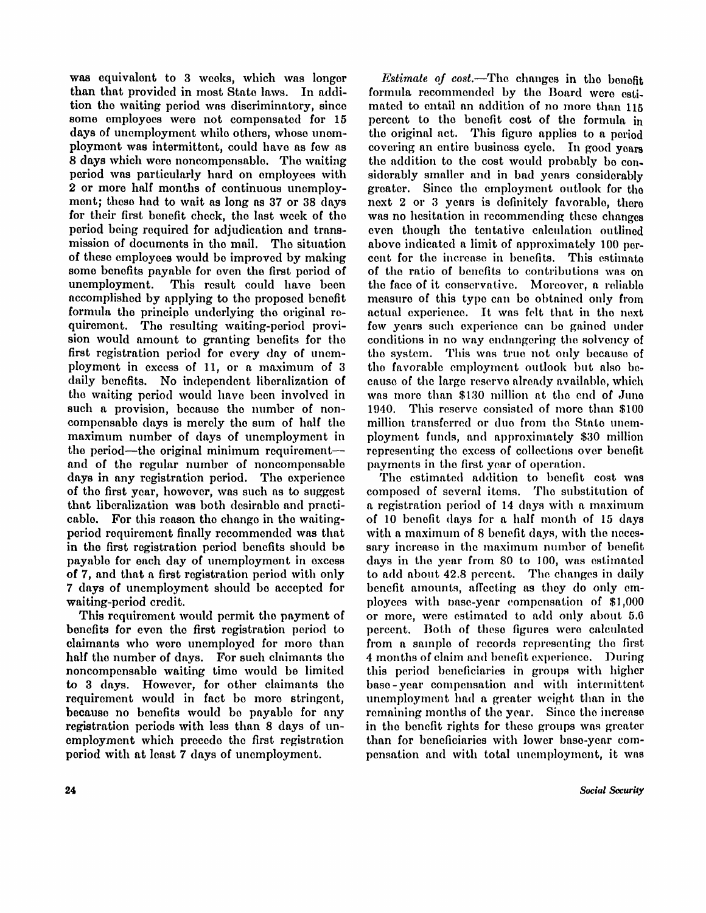was equivalent to 3 weeks, which was longer than that provided in most State laws. In addition the waiting period was discriminatory, since some employees were not compensated for 15 days of unemployment while others, whose unemployment was intermittent, could have as few as 8 days which were noncompensable. The waiting period was particularly hard on employees with 2 or more half months of continuous unemployment; these had to wait as long as 37 or 38 days for their first benefit check, the last week of the period being required for adjudication and trans mission of documents in the mail. The situation of these employees would be improved by making some benefits payable for even the first period of unemployment. This result could have been accomplished by applying to the proposed benefit formula the principle underlying the original requirement. The resulting waiting-period provision would amount to granting benefits for the first registration period for every day of unemployment in excess of 11, or a maximum of 3 daily benefits. No independent liberalization of the waiting period would have been involved in such a provision, because the number of noncompensable days is merely the sum of half the maximum number of days of unemployment in the period—the original minimum requirement and of the regular number of noncompensable days in any registration period. The experience of the first year, however, was such as to suggest that liberalization was both desirable and practicable. For this reason the change in the waitingperiod requirement finally recommended was that in the first registration period benefits should be payable for each day of unemployment in excess of 7, and that a first registration period with only 7 days of unemployment should be accepted for waiting-period credit.

This requirement would permit the payment of benefits for even the first registration period to claimants who were unemployed for more than half the number of days. For such claimants the noncompensable waiting time would be limited to 3 days. However, for other claimants the requirement would in fact be more stringent, because no benefits would be payable for any registration periods with less than 8 days of unemployment which precede the first registration period with at least 7 days of unemployment.

*Estimate of cost.*—The changes in the benefit formula recommended by the Board were estimated to entail an addition of no more than 115 percent to the benefit cost of the formula in the original act. This figure applies to a period covering an entire business cycle. In good years the addition to the cost would probably be considerably smaller and in bad years considerably greater. Since the employment outlook for the next 2 or 3 years is definitely favorable, there was no hesitation in recommending these changes even though the tentative calculation outlined above indicated a limit of approximately 100 percent for the increase in benefits. This estimate of the ratio of benefits to contributions was on the face of it conservative. Moreover, a reliable measure of this type can be obtained only from actual experience. It was felt that in the next few years such experience can be gained under conditions in no way endangering the solvency of the system. This was true not only because of the favorable employment outlook but also because of the large reserve already available, which was more than \$130 million at the end of June 1940. This reserve consisted of more than \$100 million transferred or due from the State unemployment funds, and approximately \$30 million representing the excess of collections over benefit payments in the first year of operation.

The estimated addition to benefit cost was composed of several items. The substitution of a registration period of 14 days with a maximum of 10 benefit days for a half month of 15 days with a maximum of 8 benefit days, with the necessary increase in the maximum number of benefit days in the year from 80 to 100, was estimated to add about 42.8 percent. The changes in daily benefit amounts, affecting as they do only employees with base-year compensation of \$1,000 or more, were estimated to add only about 5.6 percent. Both of these figures were calculated from a sample of records representing the first 4 months of claim and benefit experience. During this period beneficiaries in groups with higher base-year compensation and with intermittent unemployment had a greater weight than in the remaining months of the year. Since the increase in the benefit rights for these groups was greater than for beneficiaries with lower base-year compensation and with total unemployment, it was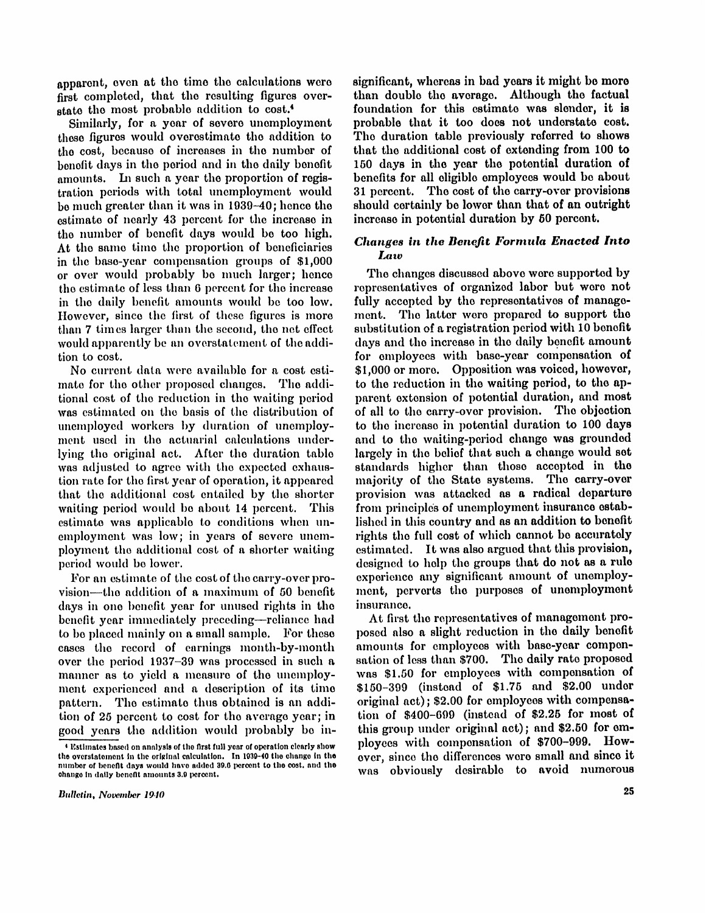apparent, even at the time the calculations were first completed, that the resulting figures overstate the most probable addition to cost.<sup>4</sup>

Similarly, for a year of severe unemployment those figures would overestimate the addition to the cost, because of increases in the number of benefit days in the period and in the daily benefit amounts. In such a year the proportion of registration periods with total unemployment would be much greater than it was in 1939-40; hence the estimate of nearly 43 percent for the increase in the number of benefit days would be too high. At the same time the proportion of beneficiaries in the base-year compensation groups of \$1,000 or over would probably be much larger; hence the estimate of less than 6 percent for the increase in the daily benefit amounts would be too low. However, since the first of these figures is more than 7 times larger than the second, the net effect would apparently be an overstatement of the addition to cost.

 $t_{\text{tot}}$  and the ventre proposed endinges. The addiwoman cost of the basis of the basis of the distribution of the distribution of was estimated on the basis of the distribution of unemployed workers by duration of unemploy-<br>ment used in the actuarial calculations underlight used in the actuality calculations underwith the original act. After the turnston table was adjusted to agree with the expected exhaustion rate for the first year of operation, it appeared that the additional cost entailed by the shorter waiting period would be about 14 percent. This estimate was applicable to conditions when unemployment was low; in years of severe unemployment the additional cost of a shorter waiting<br>period would be lower.

For an estimate of the cost of the carry-over provision—the addition of a maximum of 50 benefit days in one benefit year for unused rights in the benefit year immediately preceding—reliance had to be placed mainly on a small sample. For these cases the record of earnings month-by-month over the period  $1937-39$  was processed in such a manner as to yield a measure of the unemployment experienced and a description of its time pattern. The estimate thus obtained is an addition of 25 percent to cost for the average year; in good years the addition would probably be insignificant, whereas in bad years it might be more than double the average. Although the factual foundation for this estimate was slender, it is probable that it too does not understate cost. The duration table previously referred to shows that the additional cost of extending from 100 to 150 days in the year the potential duration of benefits for all eligible employees would be about 31 percent. The cost of the carry-over provisions should certainly be lower than that of an outright increase in potential duration by 50 percent.

## *Changes in the Benefit Formula Enacted into Law*

no current data were available for a cost estimate of  $\frac{1}{2}$ , the other proposed changes. The addi-<br>to the values of the values of the proposed changes. The addi-The changes discussed above were supported by representatives of organized labor but were not fully accepted by the representatives of management. The latter were prepared to support the substitution of a registration period with 10 benefit days and the increase in the daily benefit amount for employees with base-year compensation of \$1,000 or more. Opposition was voiced, however, parent extension of potential duration, and most of all to the carry-over provision. The objection to the increase in potential duration to 100 days and to the waiting-period change was grounded largely in the belief that such a change would set standards higher than those accepted in the majority of the State systems. The carry-over provision was attacked as a radical departure from principles of unemployment insurance established in this country and as an addition to benefit rights the full cost of which cannot be accurately estimated. It was also argued that this provision, designed to help the groups that do not as a rule experience any significant amount of unemployment, perverts the purposes of unemployment insurance

> At first the representatives of management proposed also a slight reduction in the daily benefit amounts for employees with base-year compensation of less than \$700. The daily rate proposed was \$1.50 for employees with compensation of \$150-399 (instead of \$1.75 and \$2.00 under original act); \$2.00 for employees with compensation of  $$400-699$  (instead of  $$2.25$  for most of this group under original act); and  $$2.50$  for employees with compensation of \$700-999. However, since the differences were small and since it was obviously desirable to avoid numerous

<sup>4</sup> Estimates based on analysis of the first full year of operation clearly show the overstatement in the original calculation. In 1939-40 the change in the<br>number of benefit days would have added 39.6 percent to the cost, and the change in daily benefit amounts 3.9 percent.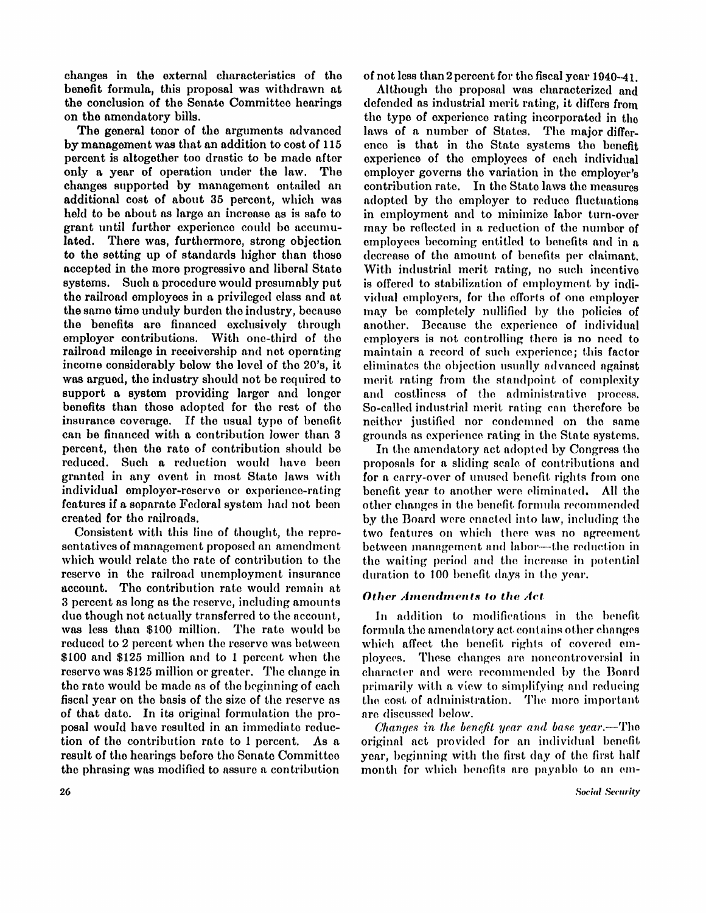changes in the external characteristics of the benefit formula, this proposal was withdrawn at the conclusion of the Senate Committee hearings on the amendatory bills.

The general tenor of the arguments advanced by management was that an addition to cost of 115 percent is altogether too drastic to be made after only a year of operation under the law. The changes supported by management entailed an additional cost of about 35 percent, which was held to be about as large an increase as is safe to grant until further experience could be accumulated. There was, furthermore, strong objection to the setting up of standards higher than those accepted in the more progressive and liberal State systems. Such a procedure would presumably put the railroad employees in a privileged class and at the same time unduly burden the industry, because the benefits are financed exclusively through employer contributions. With one-third of the railroad mileage in receivership and net operating income considerably below the level of the 20's, it was argued, the industry should not be required to support a system providing larger and longer benefits than those adopted for the rest of the insurance coverage. If the usual type of benefit can be financed with a contribution lower than 3 percent, then the rate of contribution should be reduced. Such a reduction would have been granted in any event in most State laws with individual employer-reserve or experience-rating features if a separate Federal system had not been created for the railroads.

Consistent with this line of thought, the representatives of management proposed an amendment which would relate the rate of contribution to the reserve in the railroad unemployment insurance account. The contribution rate would remain at 3 percent as long as the reserve, including amounts due though not actually transferred to the account, was less than \$100 million. The rate would be reduced to 2 percent when the reserve was between \$100 and \$125 million and to 1 percent when the reserve was \$125 million or greater. The change in the rate would be made as of the beginning of each fiscal year on the basis of the size of the reserve as of that date. In its original formulation the proposal would have resulted in an immediate reduction of the contribution rate to 1 percent. As a result of the hearings before the Senate Committee the phrasing was modified to assure a contribution

of not less than 2 percent for the fiscal year 1940-41.

Although the proposal was characterized and defended as industrial merit rating, it differs from the type of experience rating incorporated in the laws of a number of States. The major difference is that in the State systems the benefit experience of the employees of each individual employer governs the variation in the employer's contribution rate. In the State laws the measures adopted by the employer to reduce fluctuations in employment and to minimize labor turn-over may be reflected in a reduction of the number of employees becoming entitled to benefits and in a decrease of the amount of benefits per claimant. With industrial merit rating, no such incentive is offered to stabilization of employment by individual employers, for the efforts of one employer may be completely nullified by the policies of another. Because the experience of individual employers is not controlling there is no need to maintain a record of such experience; this factor eliminates the objection usually advanced against merit rating from the standpoint of complexity and costliness of the administrative process. So-called industrial merit rating can therefore be neither justified nor condemned on the same grounds as experience rating in the State systems.

In the amendatory act adopted by Congress the proposals for a sliding scale of contributions and for a carry-over of unused benefit rights from one benefit year to another were eliminated. All the other changes in the benefit formula recommended by the Board were enacted into law, including the two features on which there was no agreement between management and labor—the reduction in the waiting period and the increase in potential duration to 100 benefit days in the year.

## *Other Amendments to the Act*

In addition to modifications in the benefit formula the amendatory act contains other changes which affect the benefit rights of covered employees. These changes are noncontroversial in character and were recommended by the Board primarily with a view to simplifying and reducing the cost of administration. The more important are discussed below.

*Changes in the benefit year and base year.*—The original act provided for an individual benefit year, beginning with the first day of the first half month for which benefits are payable to an em-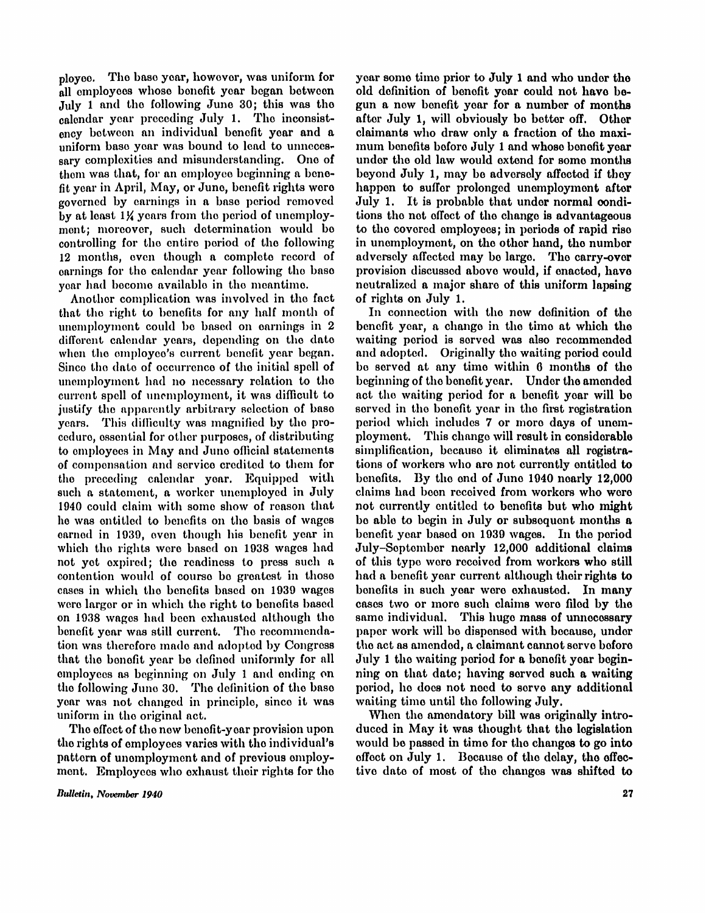ployee. The base year, however, was uniform for all employees whose benefit year began between July 1 and the following June 30; this was the calendar year preceding July 1. The inconsistency between an individual benefit year and a uniform base year was bound to lead to unnecessary complexities and misunderstanding. One of them was that, for an employee beginning a benefit year in April, May, or June, benefit rights were governed by earnings in a base period removed by at least 1¼ years from the period of unemployment; moreover, such determination would be controlling for the entire period of the following 12 months, even though a complete record of earnings for the calendar year following the base year had become available in the meantime

Another complication was involved in the fact that the right to benefits for any half month of unemployment could be based on earnings in  $2$ different calendar years, depending on the date when the employee's current benefit year began. Since the date of occurrence of the initial spell of unemployment had no necessary relation to the current spell of unemployment, it was difficult to justify the apparently arbitrary selection of base years. This difficulty was magnified by the procedure, essential for other purposes, of distributing to employees in May and June official statements of compensation and service credited to them for the preceding calendar year. Equipped with such a statement, a worker unemployed in July 1940 could claim with some show of reason that he was entitled to benefits on the basis of wages earned in 1939, even though his benefit year in which the rights were based on 1938 wages had not yet expired; the readiness to press such a contention would of course be greatest in those cases in which the benefits based on 1939 wages were larger or in which the right to benefits based on 1938 wages had been exhausted although the benefit year was still current. The recommendation was therefore made and adopted by Congress that the benefit year be defined uniformly for all employees as beginning on July 1 and ending on the following June 30. The definition of the base year was not changed in principle, since it was uniform in the original act.

The effect of the new benefit-year provision upon the rights of employees varies with the individual's pattern of unemployment and of previous employment. Employees who exhaust their rights for the year some time prior to July 1 and who under the old definition of benefit year could not have begun a new benefit year for a number of months after July 1, will obviously be better off. Other claimants who draw only a fraction of the maximum benefits before July 1 and whose benefit year under the old law would extend for some months beyond July 1, may be adversely affected if they happen to suffer prolonged unemployment after July 1. It is probable that under normal conditions the net effect of the change is advantageous to the covered employees; in periods of rapid rise in unemployment, on the other hand, the number adversely affected may be large. The carry-over provision discussed above would, if enacted, have neutralized a major share of this uniform lapsing of rights on July 1.

In connection with the new definition of the benefit year, a change in the time at which the waiting period is served was also recommended and adopted. Originally the waiting period could be served at any time within 6 months of the beginning of the benefit year. Under the amended act the waiting period for a benefit year will be served in the benefit year in the first registration period which includes 7 or more days of unemployment. This change will result in considerable simplification, because it eliminates all registrations of workers who are not currently entitled to benefits. By the end of June 1940 nearly  $12.000$ claims had been received from workers who were not currently entitled to benefits but who might be able to begin in July or subsequent months a benefit year based on 1939 wages. In the period July-September nearly 12,000 additional claims of this type were received from workers who still had a benefit year current although their rights to benefits in such year were exhausted. In many cases two or more such claims were filed by the same individual. This huge mass of unnecessary paper work will be dispensed with because, under the act as amended, a claimant cannot serve before July 1 the waiting period for a benefit year beginning on that date; having served such a waiting period, he does not need to serve any additional waiting time until the following July.

When the amendatory bill was originally introduced in May it was thought that the legislation would be passed in time for the changes to go into effect on July 1. Because of the delay, the effective date of most of the changes was shifted to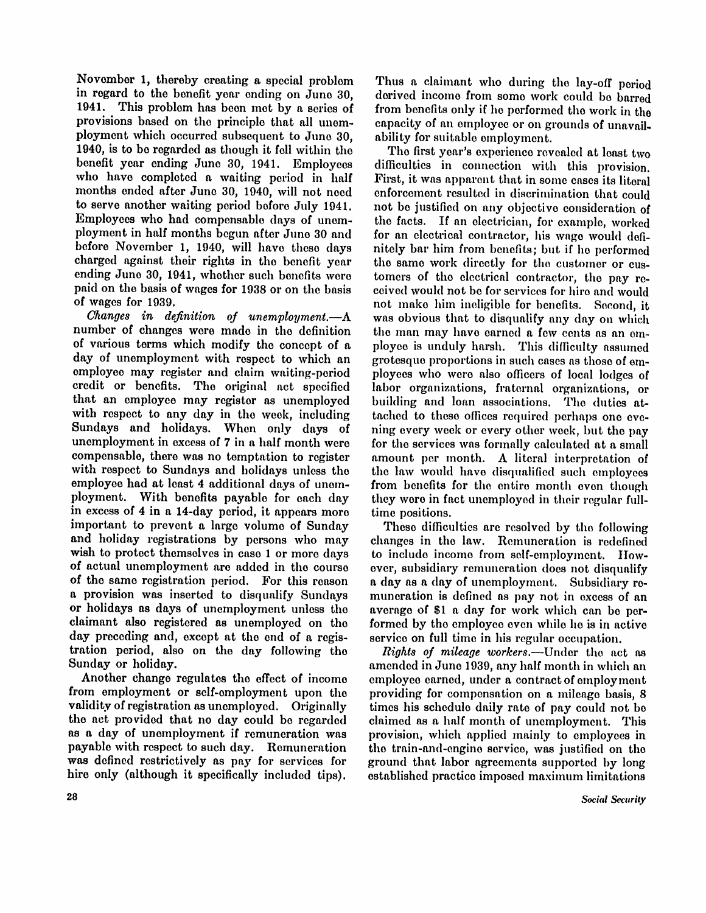November 1, thereby creating a special problem in regard to the benefit year ending on June 30, 1941. This problem has been met by a series of provisions based on the principle that all unemployment which occurred subsequent to June 30, 1940, is to be regarded as though it fell within the benefit year ending June 30, 1941. Employees who have completed a waiting period in half months ended after June 30, 1940, will not need to serve another waiting period before July 1941. Employees who had compensable days of unemployment in half months begun after June 30 and before November 1, 1940, will have these days charged against their rights in the benefit year ending June 30, 1941, whether such benefits were paid on the basis of wages for 1938 or on the basis of wages for 1939.

*Changes in definition of unemployment.*—A number of changes were made in the definition of various terms which modify the concept of a day of unemployment with respect to which an employee may register and claim waiting-period credit or benefits. The original act specified that an employee may register as unemployed with respect to any day in the week, including Sundays and holidays. When only days of unemployment in excess of 7 in a half month were compensable, there was no temptation to register with respect to Sundays and holidays unless the employee had at least 4 additional days of unemployment. With benefits payable for each day in excess of 4 in a 14-day period, it appears more important to prevent a large volume of Sunday and holiday registrations by persons who may wish to protect themselves in case 1 or more days of actual unemployment are added in the course of the same registration period. For this reason a provision was inserted to disqualify Sundays or holidays as days of unemployment unless the claimant also registered as unemployed on the day preceding and, except at the end of a registration period, also on the day following the Sunday or holiday.

Another change regulates the effect of income from employment or self-employment upon the validity of registration as unemployed. Originally the act provided that no day could be regarded as a day of unemployment if remuneration was payable with respect to such day. Remuneration was defined restrictively as pay for services for hire only (although it specifically included tips).

Thus a claimant who during the lay-off period derived income from some work could be barred from benefits only if he performed the work in the capacity of an employee or on grounds of unavailability for suitable employment.

The first year's experience revealed at least two difficulties in connection with this provision. First, it was apparent that in some cases its literal enforcement resulted in discrimination that could not be justified on any objective consideration of the facts. If an electrician, for example, worked for an electrical contractor, his wage would definitely bar him from benefits; but if he performed the same work directly for the customer or customers of the electrical contractor, the pay received would not be for services for hire and would not make him incligible for benefits. Second, it was obvious that to disqualify any day on which the man may have earned a few cents as an employee is unduly harsh. This difficulty assumed grotesque proportions in such cases as those of employees who were also officers of local lodges of labor organizations, fraternal organizations, or building and loan associations. The duties attached to these offices required perhaps one evening every week or every other week, but the pay for the services was formally calculated at a small amount per month. A literal interpretation of the law would have disqualified such employees from benefits for the entire month even though they were in fact unemployed in their regular fulltime positions.

These difficulties are resolved by the following changes in the law. Remuneration is redefined to include income from self-employment. However, subsidiary remuneration does not disqualify a day as a day of unemployment. Subsidiary remuneration is defined as pay not in excess of an average of \$1 a day for work which can be performed by the employee even while he is in active service on full time in his regular occupation.

*Rights of mileage workers.*—Under the act as amended in June 1939, any half month in which an employee earned, under a contract of employment providing for compensation on a mileage basis, 8 times his schedule daily rate of pay could not be claimed as a half month of unemployment. This provision, which applied mainly to employees in the train-and-engine service, was justified on the ground that labor agreements supported by long established practice imposed maximum limitations